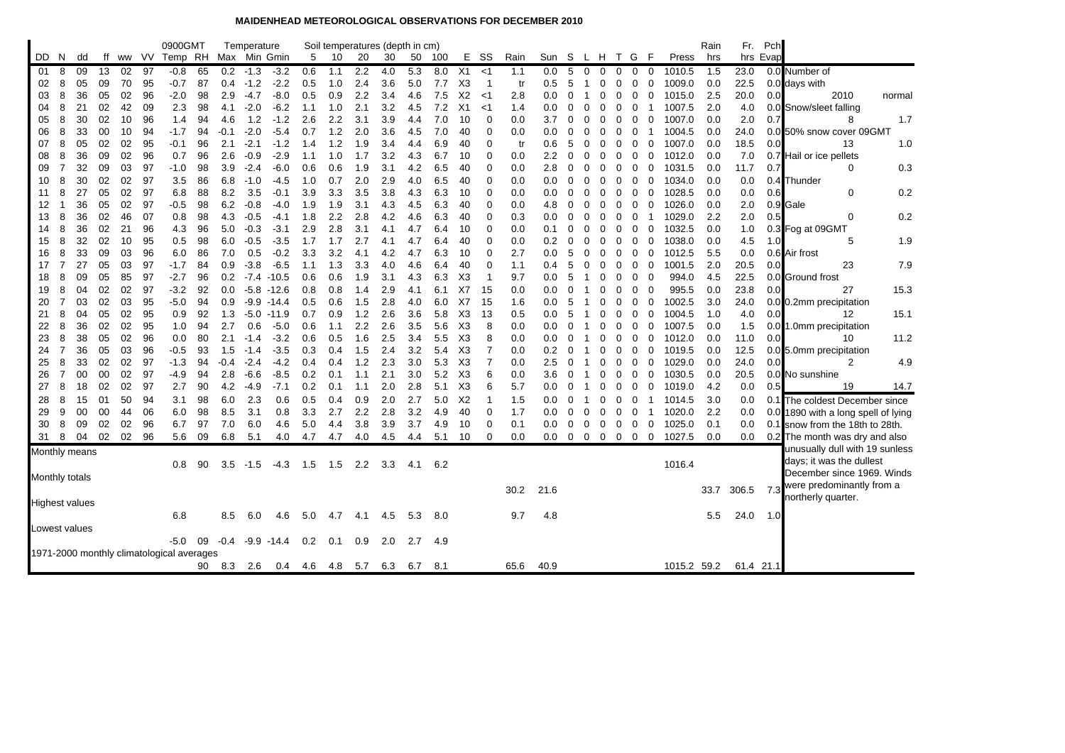## **MAIDENHEAD METEOROLOGICAL OBSERVATIONS FOR DECEMBER 2010**

|                       |                                           |    |    |    |       | 0900GMT |    |                  | Temperature |               |     |     | Soil temperatures (depth in cm) |     |     |     |                |             |      |         |                |             |                |                |                |          |             | Rain | Fr.       | Pch      |                                     |
|-----------------------|-------------------------------------------|----|----|----|-------|---------|----|------------------|-------------|---------------|-----|-----|---------------------------------|-----|-----|-----|----------------|-------------|------|---------|----------------|-------------|----------------|----------------|----------------|----------|-------------|------|-----------|----------|-------------------------------------|
| DD.                   | N.                                        | dd | ff |    | ww VV | Temp RH |    |                  |             | Max Min Gmin  | 5   | 10  | 20                              | 30  | 50  | 100 |                | E SS        | Rain | Sun     | -S             |             |                | L H T G        | - F            |          | Press       | hrs  |           | hrs Evap |                                     |
| 01                    | 8                                         | 09 | 13 | 02 | 97    | $-0.8$  | 65 | 0.2 <sub>0</sub> | $-1.3$      | $-3.2$        | 0.6 | 1.1 | 2.2                             | 4.0 | 5.3 | 8.0 | X1             | <1          | 1.1  | 0.0     | 5              | $\mathbf 0$ | $\Omega$       | $\mathbf 0$    | $\mathbf 0$    | 0        | 1010.5      | 1.5  | 23.0      |          | 0.0 Number of                       |
| 02                    | 8                                         | 05 | 09 | 70 | 95    | -0.7    | 87 | 0.4              | $-1.2$      | $-2.2$        | 0.5 | 1.0 | 2.4                             | 3.6 | 5.0 | 7.7 | X <sub>3</sub> | - 1         | tr   | 0.5     | 5              | -1          | 0              | 0              | 0              | 0        | 1009.0      | 0.0  | 22.5      |          | 0.0 days with                       |
| 03                    | 8                                         | 36 | 05 | 02 | 96    | $-2.0$  | 98 | 2.9              | $-4.7$      | $-8.0$        | 0.5 | 0.9 | 2.2                             | 3.4 | 4.6 | 7.5 | X2             | <1          | 2.8  | 0.0     | 0              | -1          | 0              | 0              | 0              | 0        | 1015.0      | 2.5  | 20.0      | 0.0      | 2010<br>normal                      |
| 04                    | 8                                         | 21 | 02 | 42 | 09    | 2.3     | 98 | 4.1              | $-2.0$      | $-6.2$        | 1.1 | 1.0 | 2.1                             | 3.2 | 4.5 | 7.2 | X <sub>1</sub> | <1          | 1.4  | 0.0     | 0              | 0           | 0              | 0              | 0              | -1       | 1007.5      | 2.0  | 4.0       |          | 0.0 Snow/sleet falling              |
| 05                    | 8                                         | 30 | 02 | 10 | 96    | 1.4     | 94 | 4.6              | 1.2         | $-1.2$        | 2.6 | 2.2 | 3.1                             | 3.9 | 4.4 | 7.0 | 10             | $\mathbf 0$ | 0.0  | 3.7     | 0              | 0           | 0              | 0              | 0              | 0        | 1007.0      | 0.0  | 2.0       | 0.7      | 8<br>1.7                            |
| 06                    | 8                                         | 33 | 00 | 10 | 94    | $-1.7$  | 94 | -0.1             | $-2.0$      | $-5.4$        | 0.7 | 1.2 | 2.0                             | 3.6 | 4.5 | 7.0 | 40             | 0           | 0.0  | 0.0     | $\Omega$       | 0           | 0              | 0              | 0              |          | 1004.5      | 0.0  | 24.0      |          | 0.0 50% snow cover 09GMT            |
| 07                    | 8                                         | 05 | 02 | 02 | 95    | -0.1    | 96 | 2.1              | $-2.1$      | $-1.2$        | 1.4 | 1.2 | 1.9                             | 3.4 | 4.4 | 6.9 | 40             | 0           | tr   | 0.6     | 5              | 0           | 0              | 0              | 0              | 0        | 1007.0      | 0.0  | 18.5      | 0.0      | 13<br>1.0                           |
| 08                    | 8                                         | 36 | 09 | 02 | 96    | 0.7     | 96 | 2.6              | $-0.9$      | $-2.9$        | 1.1 | 1.0 | 1.7                             | 3.2 | 4.3 | 6.7 | -10            | 0           | 0.0  | 2.2     | 0              | 0           | 0              | 0              | 0              | 0        | 1012.0      | 0.0  | 7.0       |          | 0.7 Hail or ice pellets             |
| 09                    | 7                                         | 32 | 09 | 03 | 97    | -1.0    | 98 | 3.9              | $-2.4$      | -6.0          | 0.6 | 0.6 | 1.9                             | 3.1 | 4.2 | 6.5 | 40             | 0           | 0.0  | 2.8     | 0              | 0           | 0              | 0              | 0              | 0        | 1031.5      | 0.0  | 11.7      | 0.7      | 0.3<br>0                            |
| 10                    | 8                                         | 30 | 02 | 02 | 97    | 3.5     | 86 | 6.8              | $-1.0$      | -4.5          | 1.0 | 0.7 | 2.0                             | 2.9 | 4.0 | 6.5 | 40             | 0           | 0.0  | 0.0     | 0              | 0           | 0              | 0              | 0              | 0        | 1034.0      | 0.0  | 0.0       | 0.4      | Thunder                             |
| 11                    | 8                                         | 27 | 05 | 02 | 97    | 6.8     | 88 | 8.2              | 3.5         | $-0.1$        | 3.9 | 3.3 | 3.5                             | 3.8 | 4.3 | 6.3 | 10             | 0           | 0.0  | 0.0     | $\Omega$       | $\Omega$    | $\Omega$       | 0              | $\mathbf 0$    | 0        | 1028.5      | 0.0  | 0.0       | 0.6      | 0.2<br>$\Omega$                     |
| 12                    |                                           | 36 | 05 | 02 | 97    | -0.5    | 98 | 6.2              | $-0.8$      | -4.0          | 1.9 | 1.9 | 3.1                             | 4.3 | 4.5 | 6.3 | 40             | 0           | 0.0  | 4.8     | 0              | 0           | 0              | 0              | 0              | 0        | 1026.0      | 0.0  | 2.0       |          | 0.9 Gale                            |
| 13                    | 8                                         | 36 | 02 | 46 | 07    | 0.8     | 98 | 4.3              | $-0.5$      | $-4.1$        | 1.8 | 2.2 | 2.8                             | 4.2 | 4.6 | 6.3 | 40             | 0           | 0.3  | 0.0     | 0              | 0           | 0              | 0              | 0              | -1       | 1029.0      | 2.2  | 2.0       | 0.5      | 0.2<br>$\mathbf 0$                  |
| 14                    | 8                                         | 36 | 02 | 21 | 96    | 4.3     | 96 | 5.0              | $-0.3$      | $-3.1$        | 2.9 | 2.8 | 3.1                             | 4.1 | 4.7 | 6.4 | 10             | 0           | 0.0  | 0.1     | 0              | 0           | 0              | 0              | 0              | 0        | 1032.5      | 0.0  | 1.0       |          | 0.3 Fog at 09GMT                    |
| 15                    | 8                                         | 32 | 02 | 10 | 95    | 0.5     | 98 | 6.0              | -0.5        | $-3.5$        | 1.7 | 1.7 | 2.7                             | 4.1 | 4.7 | 6.4 | 40             | 0           | 0.0  | 0.2     | 0              | 0           | 0              | 0              | 0              | 0        | 1038.0      | 0.0  | 4.5       | 1.0      | 1.9<br>5                            |
| 16                    | 8                                         | 33 | 09 | 03 | 96    | 6.0     | 86 | 7.0              | 0.5         | $-0.2$        | 3.3 | 3.2 | 4.1                             | 4.2 | 4.7 | 6.3 | 10             | 0           | 2.7  | 0.0     | 5              | 0           | 0              | 0              | 0              | 0        | 1012.5      | 5.5  | 0.0       |          | 0.6 Air frost                       |
| 17                    | $\overline{7}$                            | 27 | 05 | 03 | 97    | $-1.7$  | 84 | 0.9              | $-3.8$      | $-6.5$        | 1.1 | 1.3 | 3.3                             | 4.0 | 4.6 | 6.4 | 40             | 0           | 1.1  | 0.4     | 5              | 0           | 0              | 0              | 0              | 0        | 1001.5      | 2.0  | 20.5      | 0.0      | 7.9<br>23                           |
| 18                    | 8                                         | 09 | 05 | 85 | 97    | -2.7    | 96 | 0.2              | $-7.4$      | $-10.5$       | 0.6 | 0.6 | 1.9                             | 3.1 | 4.3 | 6.3 | X3             | -1          | 9.7  | 0.0     | 5              |             | 0              | 0              | 0              | 0        | 994.0       | 4.5  | 22.5      |          | 0.0 Ground frost                    |
| 19                    | 8                                         | 04 | 02 | 02 | 97    | -3.2    | 92 | 0.0              |             | $-5.8 - 12.6$ | 0.8 | 0.8 | 1.4                             | 2.9 | 4.1 | 6.1 | X7             | 15          | 0.0  | 0.0     | 0              |             | 0              | 0              | $\mathbf 0$    | 0        | 995.5       | 0.0  | 23.8      | 0.0      | 15.3<br>27                          |
| 20                    | 7                                         | 03 | 02 | 03 | 95    | -5.0    | 94 | 0.9              | $-9.9$      | $-14.4$       | 0.5 | 0.6 | 1.5                             | 2.8 | 4.0 | 6.0 | X7             | 15          | 1.6  | 0.0     | 5              |             | $\Omega$       | 0              | 0              | 0        | 1002.5      | 3.0  | 24.0      |          | 0.0 0.2mm precipitation             |
| 21                    | 8                                         | 04 | 05 | 02 | 95    | 0.9     | 92 | 1.3              | $-5.0$      | $-11.9$       | 0.7 | 0.9 | 1.2                             | 2.6 | 3.6 | 5.8 | X <sub>3</sub> | 13          | 0.5  | 0.0     | 5              |             | 0              | 0              | 0              | 0        | 1004.5      | 1.0  | 4.0       | 0.0      | 15.1<br>12                          |
| 22                    | 8                                         | 36 | 02 | 02 | 95    | 1.0     | 94 | 2.7              | 0.6         | $-5.0$        | 0.6 | 1.1 | 2.2                             | 2.6 | 3.5 | 5.6 | X3             | 8           | 0.0  | 0.0     | 0              |             | 0              | 0              | 0              | 0        | 1007.5      | 0.0  | 1.5       |          | 0.0 1.0mm precipitation             |
| 23                    | 8                                         | 38 | 05 | 02 | 96    | 0.0     | 80 | 2.1              | $-1.4$      | $-3.2$        | 0.6 | 0.5 | 1.6                             | 2.5 | 3.4 | 5.5 | X3             | 8           | 0.0  | 0.0     | 0              |             | 0              | 0              | 0              | 0        | 1012.0      | 0.0  | 11.0      | 0.0      | 11.2<br>10                          |
| 24                    | $\overline{7}$                            | 36 | 05 | 03 | 96    | $-0.5$  | 93 | 1.5              | $-1.4$      | $-3.5$        | 0.3 | 0.4 | 1.5                             | 2.4 | 3.2 | 5.4 | X <sub>3</sub> | 7           | 0.0  | 0.2     | $\Omega$       |             | 0              | 0              | $\mathbf 0$    | $\Omega$ | 1019.5      | 0.0  | 12.5      |          | 0.0 5.0mm precipitation             |
| 25                    | 8                                         | 33 | 02 | 02 | 97    | $-1.3$  | 94 | $-0.4$           | $-2.4$      | $-4.2$        | 0.4 | 0.4 | 1.2                             | 2.3 | 3.0 | 5.3 | X3             | 7           | 0.0  | 2.5     | 0              |             | 0              | 0              | 0              | 0        | 1029.0      | 0.0  | 24.0      | 0.0      | 2<br>4.9                            |
| 26                    | $\overline{7}$                            | 00 | 00 | 02 | 97    | -4.9    | 94 | 2.8              | $-6.6$      | $-8.5$        | 0.2 | 0.1 | 1.1                             | 2.1 | 3.0 | 5.2 | X3             | 6           | 0.0  | 3.6     | 0              |             | O              | 0              | 0              | 0        | 1030.5      | 0.0  | 20.5      |          | 0.0 No sunshine                     |
| 27                    | 8                                         | 18 | 02 | 02 | 97    | 2.7     | 90 | 4.2              | $-4.9$      | $-7.1$        | 0.2 | 0.1 | 1.1                             | 2.0 | 2.8 | 5.1 | X <sub>3</sub> | 6           | 5.7  | 0.0     | 0              |             | 0              | 0              | 0              | 0        | 1019.0      | 4.2  | 0.0       | 0.5      | 14.7<br>19                          |
| 28                    | 8                                         | 15 | 01 | 50 | 94    | 3.1     | 98 | 6.0              | 2.3         | 0.6           | 0.5 | 0.4 | 0.9                             | 2.0 | 2.7 | 5.0 | X2             | -1          | 1.5  | 0.0     | 0              |             | $\Omega$       | 0              | 0<br>-1        |          | 1014.5      | 3.0  | 0.0       |          | 0.1 The coldest December since      |
| 29                    | 9                                         | 00 | 00 | 44 | 06    | 6.0     | 98 | 8.5              | 3.1         | 0.8           | 3.3 | 2.7 | 2.2                             | 2.8 | 3.2 | 4.9 | 40             | $\mathbf 0$ | 1.7  | 0.0     | 0              | $\mathbf 0$ | 0              | 0              | 0              | -1       | 1020.0      | 2.2  | 0.0       |          | 0.0 1890 with a long spell of lying |
| 30                    | 8                                         | 09 | 02 | 02 | 96    | 6.7     | 97 | 7.0              | 6.0         | 4.6           | 5.0 | 4.4 | 3.8                             | 3.9 | 3.7 | 4.9 | 10             | 0           | 0.1  | $0.0\,$ | 0              | 0           | 0              | $\mathbf{0}$   | $\overline{0}$ | 0        | 1025.0      | 0.1  | 0.0       |          | 0.1 snow from the 18th to 28th.     |
| 31                    | 8                                         | 04 | 02 | 02 | 96    | 5.6     | 09 | 6.8              | 5.1         | 4.0           | 4.7 | 4.7 | 4.0                             | 4.5 | 4.4 | 5.1 | 10             | 0           | 0.0  | $0.0\,$ | $\overline{0}$ | $\mathbf 0$ | $\overline{0}$ | $\overline{0}$ | $\mathbf{0}$   | 0        | 1027.5      | 0.0  | 0.0       |          | 0.2 The month was dry and also      |
| Monthly means         |                                           |    |    |    |       |         |    |                  |             |               |     |     |                                 |     |     |     |                |             |      |         |                |             |                |                |                |          |             |      |           |          | unusually dull with 19 sunless      |
|                       |                                           |    |    |    |       | 0.8     | 90 | 3.5              | $-1.5$      | $-4.3$        | 1.5 | 1.5 | $2.2\phantom{0}$                | 3.3 | 4.1 | 6.2 |                |             |      |         |                |             |                |                |                |          | 1016.4      |      |           |          | days; it was the dullest            |
| Monthly totals        |                                           |    |    |    |       |         |    |                  |             |               |     |     |                                 |     |     |     |                |             |      |         |                |             |                |                |                |          |             |      |           |          | December since 1969. Winds          |
|                       |                                           |    |    |    |       |         |    |                  |             |               |     |     |                                 |     |     |     |                |             | 30.2 | 21.6    |                |             |                |                |                |          |             | 33.7 | 306.5     | 7.3      | were predominantly from a           |
| <b>Highest values</b> |                                           |    |    |    |       |         |    |                  |             |               |     |     |                                 |     |     |     |                |             |      |         |                |             |                |                |                |          |             |      |           |          | northerly quarter.                  |
|                       |                                           |    |    |    |       | 6.8     |    | 8.5              | 6.0         | 4.6           | 5.0 | 4.7 | 4.1                             | 4.5 | 5.3 | 8.0 |                |             | 9.7  | 4.8     |                |             |                |                |                |          |             | 5.5  | 24.0      | 1.0      |                                     |
| Lowest values         |                                           |    |    |    |       |         |    |                  |             |               |     |     |                                 |     |     |     |                |             |      |         |                |             |                |                |                |          |             |      |           |          |                                     |
|                       |                                           |    |    |    |       | -5.0    | 09 | $-0.4$           |             | $-9.9 - 14.4$ | 0.2 | 0.1 | 0.9                             | 2.0 | 2.7 | 4.9 |                |             |      |         |                |             |                |                |                |          |             |      |           |          |                                     |
|                       | 1971-2000 monthly climatological averages |    |    |    |       |         |    |                  |             |               |     |     |                                 |     |     |     |                |             |      |         |                |             |                |                |                |          |             |      |           |          |                                     |
|                       |                                           |    |    |    |       |         | 90 | 8.3              | 2.6         | 0.4           | 4.6 | 4.8 | 5.7                             | 6.3 | 6.7 | 8.1 |                |             | 65.6 | 40.9    |                |             |                |                |                |          | 1015.2 59.2 |      | 61.4 21.1 |          |                                     |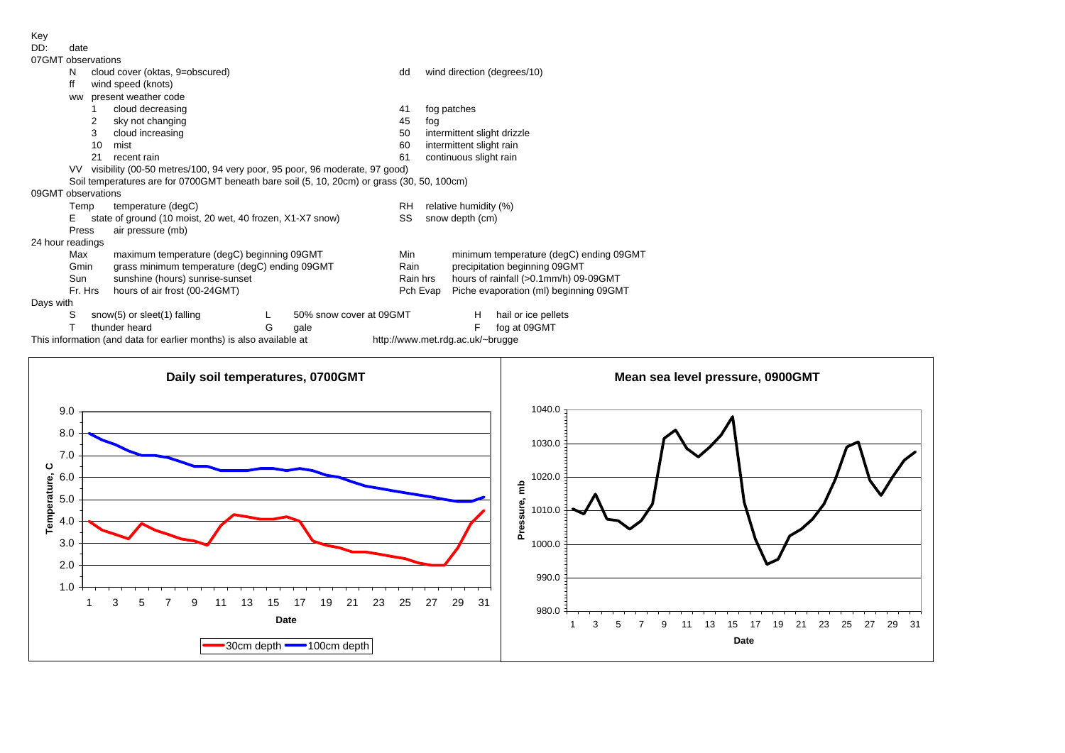Key

| DD:                | date                                                                          |    |                                                                                            |   |                         |          |                       |                                         |                             |  |  |  |  |
|--------------------|-------------------------------------------------------------------------------|----|--------------------------------------------------------------------------------------------|---|-------------------------|----------|-----------------------|-----------------------------------------|-----------------------------|--|--|--|--|
| 07GMT observations |                                                                               |    |                                                                                            |   |                         |          |                       |                                         |                             |  |  |  |  |
|                    | N                                                                             |    | cloud cover (oktas, 9=obscured)                                                            |   |                         | dd       |                       |                                         | wind direction (degrees/10) |  |  |  |  |
|                    | ff                                                                            |    | wind speed (knots)                                                                         |   |                         |          |                       |                                         |                             |  |  |  |  |
|                    | ww                                                                            |    | present weather code                                                                       |   |                         |          |                       |                                         |                             |  |  |  |  |
|                    |                                                                               |    | cloud decreasing                                                                           |   |                         | 41       |                       | fog patches                             |                             |  |  |  |  |
|                    |                                                                               | 2  | sky not changing                                                                           |   |                         | 45       | fog                   |                                         |                             |  |  |  |  |
|                    |                                                                               | 3  | cloud increasing                                                                           |   |                         | 50       |                       | intermittent slight drizzle             |                             |  |  |  |  |
|                    |                                                                               | 10 | mist                                                                                       |   |                         | 60       |                       | intermittent slight rain                |                             |  |  |  |  |
|                    |                                                                               | 21 | recent rain                                                                                |   |                         | 61       |                       | continuous slight rain                  |                             |  |  |  |  |
|                    | VV visibility (00-50 metres/100, 94 very poor, 95 poor, 96 moderate, 97 good) |    |                                                                                            |   |                         |          |                       |                                         |                             |  |  |  |  |
|                    |                                                                               |    | Soil temperatures are for 0700GMT beneath bare soil (5, 10, 20cm) or grass (30, 50, 100cm) |   |                         |          |                       |                                         |                             |  |  |  |  |
| 09GMT observations |                                                                               |    |                                                                                            |   |                         |          |                       |                                         |                             |  |  |  |  |
|                    | Temp                                                                          |    | temperature (degC)                                                                         |   |                         | RH       | relative humidity (%) |                                         |                             |  |  |  |  |
|                    | E.                                                                            |    | state of ground (10 moist, 20 wet, 40 frozen, X1-X7 snow)                                  |   |                         | SS       | snow depth (cm)       |                                         |                             |  |  |  |  |
|                    | Press                                                                         |    | air pressure (mb)                                                                          |   |                         |          |                       |                                         |                             |  |  |  |  |
| 24 hour readings   |                                                                               |    |                                                                                            |   |                         |          |                       |                                         |                             |  |  |  |  |
|                    | Max                                                                           |    | maximum temperature (degC) beginning 09GMT                                                 |   |                         | Min      |                       | minimum temperature (degC) ending 09GMT |                             |  |  |  |  |
|                    | Gmin                                                                          |    | grass minimum temperature (degC) ending 09GMT                                              |   |                         | Rain     |                       | precipitation beginning 09GMT           |                             |  |  |  |  |
|                    | Sun                                                                           |    | sunshine (hours) sunrise-sunset                                                            |   |                         | Rain hrs |                       | hours of rainfall (>0.1mm/h) 09-09GMT   |                             |  |  |  |  |
|                    | Fr. Hrs<br>hours of air frost (00-24GMT)                                      |    |                                                                                            |   |                         |          | Pch Evap              | Piche evaporation (ml) beginning 09GMT  |                             |  |  |  |  |
| Days with          |                                                                               |    |                                                                                            |   |                         |          |                       |                                         |                             |  |  |  |  |
|                    | S                                                                             |    | snow(5) or sleet(1) falling                                                                |   | 50% snow cover at 09GMT |          |                       | H                                       | hail or ice pellets         |  |  |  |  |
|                    |                                                                               |    | thunder heard                                                                              | G | gale                    |          |                       | F                                       | fog at 09GMT                |  |  |  |  |
|                    |                                                                               |    |                                                                                            |   |                         |          |                       |                                         |                             |  |  |  |  |

## $\overline{D}$